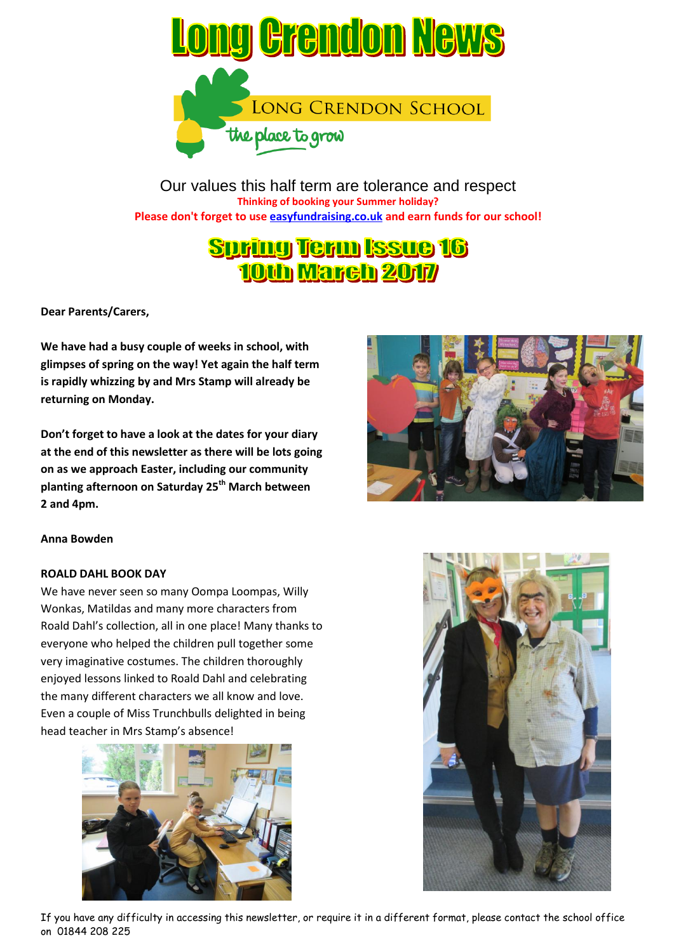

Our values this half term are tolerance and respect **Thinking of booking your Summer holiday? Please don't forget to use easyfundraising.co.uk and earn funds for our school!**

# **Suring Term Issue 16 10th March 2017**

**Dear Parents/Carers,**

**We have had a busy couple of weeks in school, with glimpses of spring on the way! Yet again the half term is rapidly whizzing by and Mrs Stamp will already be returning on Monday.**

**Don't forget to have a look at the dates for your diary at the end of this newsletter as there will be lots going on as we approach Easter, including our community planting afternoon on Saturday 25th March between 2 and 4pm.**



# **Anna Bowden**

#### **ROALD DAHL BOOK DAY**

We have never seen so many Oompa Loompas, Willy Wonkas, Matildas and many more characters from Roald Dahl's collection, all in one place! Many thanks to everyone who helped the children pull together some very imaginative costumes. The children thoroughly enjoyed lessons linked to Roald Dahl and celebrating the many different characters we all know and love. Even a couple of Miss Trunchbulls delighted in being head teacher in Mrs Stamp's absence!





If you have any difficulty in accessing this newsletter, or require it in a different format, please contact the school office on 01844 208 225